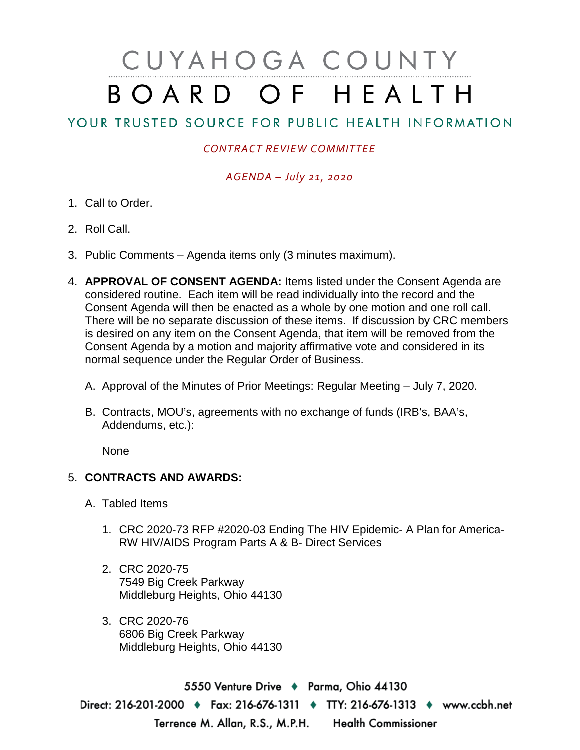# CUYAHOGA COUNTY BOARD OF HEALTH

## YOUR TRUSTED SOURCE FOR PUBLIC HEALTH INFORMATION

### *CONTRACT REVIEW COMMITTEE*

#### *AGENDA – July 21, 2020*

- 1. Call to Order.
- 2. Roll Call.
- 3. Public Comments Agenda items only (3 minutes maximum).
- 4. **APPROVAL OF CONSENT AGENDA:** Items listed under the Consent Agenda are considered routine. Each item will be read individually into the record and the Consent Agenda will then be enacted as a whole by one motion and one roll call. There will be no separate discussion of these items. If discussion by CRC members is desired on any item on the Consent Agenda, that item will be removed from the Consent Agenda by a motion and majority affirmative vote and considered in its normal sequence under the Regular Order of Business.
	- A. Approval of the Minutes of Prior Meetings: Regular Meeting July 7, 2020.
	- B. Contracts, MOU's, agreements with no exchange of funds (IRB's, BAA's, Addendums, etc.):

None

#### 5. **CONTRACTS AND AWARDS:**

- A. Tabled Items
	- 1. CRC 2020-73 RFP #2020-03 Ending The HIV Epidemic- A Plan for America-RW HIV/AIDS Program Parts A & B- Direct Services
	- 2. CRC 2020-75 7549 Big Creek Parkway Middleburg Heights, Ohio 44130
	- 3. CRC 2020-76 6806 Big Creek Parkway Middleburg Heights, Ohio 44130

5550 Venture Drive + Parma, Ohio 44130 Direct: 216-201-2000 ♦ Fax: 216-676-1311 ♦ TTY: 216-676-1313 ♦ www.ccbh.net Terrence M. Allan, R.S., M.P.H. Health Commissioner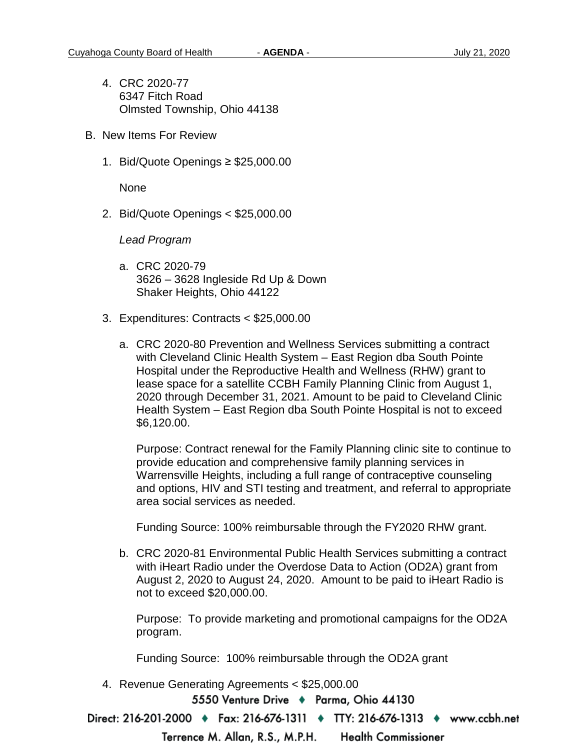- 4. CRC 2020-77 6347 Fitch Road Olmsted Township, Ohio 44138
- B. New Items For Review
	- 1. Bid/Quote Openings ≥ \$25,000.00

None

2. Bid/Quote Openings < \$25,000.00

*Lead Program* 

- a. CRC 2020-79 3626 – 3628 Ingleside Rd Up & Down Shaker Heights, Ohio 44122
- 3. Expenditures: Contracts < \$25,000.00
	- a. CRC 2020-80 Prevention and Wellness Services submitting a contract with Cleveland Clinic Health System – East Region dba South Pointe Hospital under the Reproductive Health and Wellness (RHW) grant to lease space for a satellite CCBH Family Planning Clinic from August 1, 2020 through December 31, 2021. Amount to be paid to Cleveland Clinic Health System – East Region dba South Pointe Hospital is not to exceed \$6,120.00.

Purpose: Contract renewal for the Family Planning clinic site to continue to provide education and comprehensive family planning services in Warrensville Heights, including a full range of contraceptive counseling and options, HIV and STI testing and treatment, and referral to appropriate area social services as needed.

Funding Source: 100% reimbursable through the FY2020 RHW grant.

b. CRC 2020-81 Environmental Public Health Services submitting a contract with iHeart Radio under the Overdose Data to Action (OD2A) grant from August 2, 2020 to August 24, 2020. Amount to be paid to iHeart Radio is not to exceed \$20,000.00.

Purpose: To provide marketing and promotional campaigns for the OD2A program.

Funding Source: 100% reimbursable through the OD2A grant

4. Revenue Generating Agreements < \$25,000.00

5550 Venture Drive ♦ Parma, Ohio 44130

Direct: 216-201-2000 ♦ Fax: 216-676-1311 ♦ TTY: 216-676-1313 ♦ www.ccbh.net

Terrence M. Allan, R.S., M.P.H. **Health Commissioner**